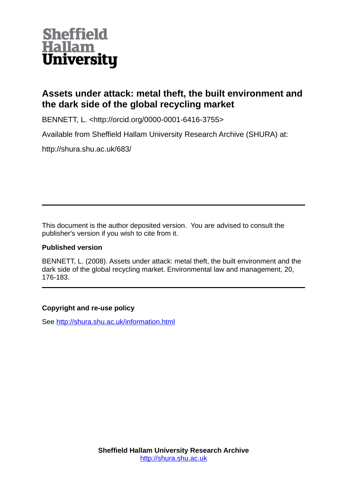

# **Assets under attack: metal theft, the built environment and the dark side of the global recycling market**

BENNETT, L. <http://orcid.org/0000-0001-6416-3755>

Available from Sheffield Hallam University Research Archive (SHURA) at:

http://shura.shu.ac.uk/683/

This document is the author deposited version. You are advised to consult the publisher's version if you wish to cite from it.

# **Published version**

BENNETT, L. (2008). Assets under attack: metal theft, the built environment and the dark side of the global recycling market. Environmental law and management, 20, 176-183.

# **Copyright and re-use policy**

See<http://shura.shu.ac.uk/information.html>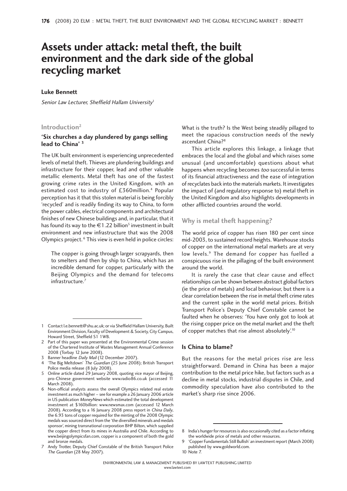# **Assets under attack: metal theft, the built environment and the dark side of the global recycling market**

### **Luke Bennett**

Senior Law Lecturer, Sheffield Hallam University<sup>1</sup>

#### **Introduction2**

#### **'Six churches a day plundered by gangs selling lead to China' 3**

The UK built environment is experiencing unprecedented levels of metal theft. Thieves are plundering buildings and infrastructure for their copper, lead and other valuable metallic elements. Metal theft has one of the fastest growing crime rates in the United Kingdom, with an estimated cost to industry of £360million.<sup>4</sup> Popular perception has it that this stolen material is being forcibly 'recycled' and is readily finding its way to China, to form the power cables, electrical components and architectural finishes of new Chinese buildings and, in particular, that it has found its way to the  $\in$  1.22 billion<sup>5</sup> investment in built environment and new infrastructure that was the 2008 Olympics project. 6 This view is even held in police circles:

The copper is going through larger scrapyards, then to smelters and then by ship to China, which has an incredible demand for copper, particularly with the Beijing Olympics and the demand for telecoms infrastructure.7

- 3 Banner headline Daily Mail (12 December 2007).
- 4 'The Big Meltdown' The Guardian (25 June 2008); British Transport Police media release (8 July 2008).
- 5 Online article dated 29 January 2008, quoting vice mayor of Beijing, pro-Chinese government website www.radio86.co.uk (accessed 11 March 2008).
- 6 Non-official analysts assess the overall Olympics related real estate investment as much higher – see for example a 26 January 2006 article in US publication MoneyNews which estimated the total development investment at \$160billion: www.newsmax.com (accessed 12 March 2008). According to a 16 January 2008 press report in China Daily, the 6.93 tons of copper required for the minting of the 2008 Olympic medals was sourced direct from the 'the diversified minerals and medals sponsor', mining transnational corporation BHP Bilton, which supplied the copper direct from its mines in Australia and Chile. According to www.beijingolympicsfan.com, copper is a component of both the gold and bronze medals.
- 7 Andy Trotter, Deputy Chief Constable of the British Transport Police The Guardian (28 May 2007).

What is the truth? Is the West being steadily pillaged to meet the rapacious construction needs of the newly ascendant China?8

This article explores this linkage, a linkage that embraces the local and the global and which raises some unusual (and uncomfortable) questions about what happens when recycling becomes too successful in terms of its financial attractiveness and the ease of integration of recyclates back into the materials markets. It investigates the impact of (and regulatory response to) metal theft in the United Kingdom and also highlights developments in other afflicted countries around the world.

## **Why is metal theft happening?**

The world price of copper has risen 180 per cent since mid-2003, to sustained record heights. Warehouse stocks of copper on the international metal markets are at very low levels.<sup>9</sup> The demand for copper has fuelled a conspicuous rise in the pillaging of the built environment around the world.

It is rarely the case that clear cause and effect relationships can be shown between abstract global factors (ie the price of metals) and local behaviour, but there is a clear correlation between the rise in metal theft crime rates and the current spike in the world metal prices. British Transport Police's Deputy Chief Constable cannot be faulted when he observes: 'You have only got to look at the rising copper price on the metal market and the theft of copper matches that rise almost absolutely'.10

#### **Is China to blame?**

But the reasons for the metal prices rise are less straightforward. Demand in China has been a major contribution to the metal price hike, but factors such as a decline in metal stocks, industrial disputes in Chile, and commodity speculation have also contributed to the market's sharp rise since 2006.

<sup>1</sup> Contact l.e.bennett@shu.ac.uk; or via Sheffield Hallam University, Built Environment Division, Faculty of Development & Society, City Campus, Howard Street, Sheffield S1 1WB.

<sup>2</sup> Part of this paper was presented at the Environmental Crime session of the Chartered Institute of Wastes Management Annual Conference 2008 (Torbay 12 June 2008).

<sup>8</sup> India's hunger for resources is also occasionally cited as a factor inflating the worldwide price of metals and other resources.

<sup>9 &#</sup>x27;Copper Fundamentals Still Bullish' an investment report (March 2008) published by www.goldworld.com.

<sup>10</sup> Note 7.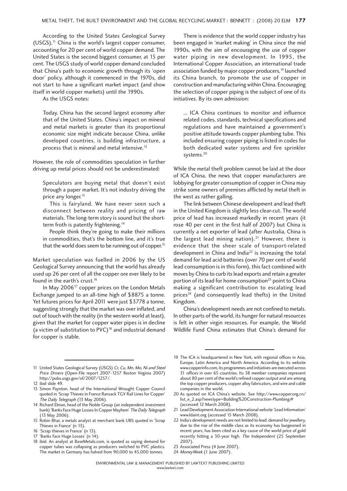According to the United States Geological Survey (USGS),11 China is the world's largest copper consumer, accounting for 20 per cent of world copper demand. The United States is the second biggest consumer, at 15 per cent. The USGS study of world copper demand concluded that China's path to economic growth through its 'open door' policy, although it commenced in the 1970s, did not start to have a significant market impact (and show itself in world copper markets) until the 1990s.

As the USGS notes:

Today, China has the second largest economy after that of the United States. China's impact on mineral and metal markets is greater than its proportional economic size might indicate because China, unlike developed countries, is building infrastructure, a process that is mineral and metal intensive.12

However, the role of commodities speculation in further driving up metal prices should not be underestimated:

Speculators are buying metal that doesn't exist through a paper market. It's not industry driving the price any longer.<sup>13</sup>

This is fairyland. We have never seen such a disconnect between reality and pricing of raw materials. The long-term story is sound but the shortterm froth is patently frightening.<sup>14</sup>

People think they're going to make their millions in commodities, that's the bottom line, and it's true that the world does seem to be running out of copper.<sup>15</sup>

Market speculation was fuelled in 2006 by the US Geological Survey announcing that the world has already used up 26 per cent of all the copper ore ever likely to be found in the earth's crust.<sup>16</sup>

In May  $2006^{17}$  copper prices on the London Metals Exchange jumped to an all-time high of \$8875 a tonne. Yet futures prices for April 2011 were just \$3778 a tonne, suggesting strongly that the market was over inflated, and out of touch with the reality (in the western world at least), given that the market for copper water pipes is in decline (a victim of substitution to  $PVC$ <sup>18</sup> and industrial demand for copper is stable.

There is evidence that the world copper industry has been engaged in 'market making' in China since the mid 1990s, with the aim of encouraging the use of copper water piping in new development. In 1995, the International Copper Association, an international trade association funded by major copper producers,<sup>19</sup> launched its China branch, to promote the use of copper in construction and manufacturing within China. Encouraging the selection of copper piping is the subject of one of its initiatives. By its own admission:

... ICA China continues to monitor and influence related codes, standards, technical specifications and regulations and have maintained a government's positive attitude towards copper plumbing tube. This included ensuring copper piping is listed in codes for both dedicated water systems and fire sprinkler systems.<sup>20</sup>

While the metal theft problem cannot be laid at the door of ICA China, the news that copper manufacturers are lobbying for greater consumption of copper in China may strike some owners of premises afflicted by metal theft in the west as rather galling.

The link between Chinese development and lead theft in the United Kingdom is slightly less clear-cut. The world price of lead has increased markedly in recent years (it rose 40 per cent in the first half of 2007) but China is currently a net exporter of lead (after Australia, China is the largest lead mining nation).<sup>21</sup> However, there is evidence that the sheer scale of transport-related development in China and India<sup>22</sup> is increasing the total demand for lead acid batteries (over 70 per cent of world lead consumption is in this form), this fact combined with moves by China to curb its lead exports and retain a greater portion of its lead for home consumption<sup>23</sup> point to China making a significant contribution to escalating lead prices<sup>24</sup> (and consequently lead thefts) in the United Kingdom.

China's development needs are not confined to metals. In other parts of the world, its hunger for natural resources is felt in other virgin resources. For example, the World Wildlife Fund China estimates that China's demand for

17 'Banks Face Huge Losses' (n 14).

23 Associated Press (4 June 2007).

<sup>11</sup> United States Geological Survey (USGS) Cr, Cu, Mn, Mo, Ni and Steel Price Drivers (Open-File report 2007-1257 Reston Virginia 2007) http://pubs.usgs.gov/of/2007/1257/.

<sup>12</sup> ibid slide 49.

<sup>13</sup> Simon Paynton, head of the International Wrought Copper Council quoted in 'Scrap Thieves in France Ransack TGV Rail Lines for Copper' The Daily Telegraph (13 May 2006).

<sup>14</sup> Richard Elman, head of the Noble Group (an independent investment bank) 'Banks Face Huge Losses In Copper Mayhem' The Daily Telegraph (13 May 2006).

<sup>15</sup> Robin Bhar, a metals analyst at merchant bank UBS quoted in 'Scrap Thieves in France' (n 13).

<sup>16 &#</sup>x27;Scrap thieves in France' (n 13).

<sup>18</sup> ibid. An analyst at BaseMetals.com, is quoted as saying demand for copper tubes was collapsing as producers switched to PVC plastics. The market in Germany has halved from 90,000 to 45,000 tonnes.

<sup>19</sup> The ICA is headquartered in New York, with regional offices in Asia, Europe, Latin America and North America. According to its website www.copperinfo.com, its programmes and initiatives are executed across 31 offices in over 65 countries. Its 38 member companies represent about 80 per cent of the world's refined copper output and are among the top copper producers, copper alloy fabricators, and wire and cable companies in the world.

<sup>20</sup> As quoted on ICA China's website. See http://www.copper.org.cn/ list\_e\_2.asp?newstype=Building%20Construction-Plumbing# (accessed 12 March 2008).

<sup>21</sup> Lead Development Association International website 'Lead Information' www.ldaint.org (accessed 15 March 2008).

<sup>22</sup> India's development needs are not limited to lead: demand for jewellery, due to the rise of the middle class as its economy has burgeoned in recent years, has been cited as a key cause of the world price of gold recently hitting a 30-year high. The Independent (25 September 2007).

<sup>24</sup> MoneyWeek (1 June 2007).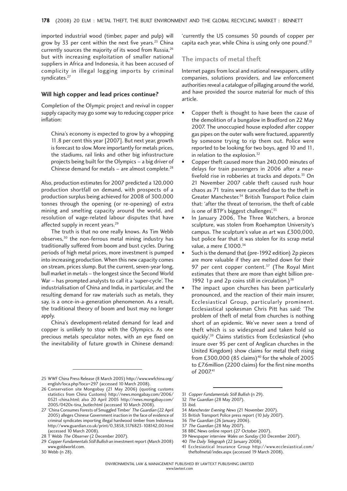imported industrial wood (timber, paper and pulp) will grow by 33 per cent within the next five years.<sup>25</sup> China currently sources the majority of its wood from Russia,<sup>26</sup> but with increasing exploitation of smaller national suppliers in Africa and Indonesia, it has been accused of complicity in illegal logging imports by criminal syndicates.<sup>27</sup>

#### **Will high copper and lead prices continue?**

Completion of the Olympic project and revival in copper supply capacity may go some way to reducing copper price inflation:

China's economy is expected to grow by a whopping 11.8 per cent this year [2007]. But next year, growth is forecast to slow. More importantly for metals prices, the stadiums, rail links and other big infrastructure projects being built for the Olympics – a big driver of Chinese demand for metals  $-$  are almost complete.<sup>28</sup>

Also, production estimates for 2007 predicted a 120,000 production shortfall on demand, with prospects of a production surplus being achieved for 2008 of 300,000 tonnes through the opening (or re-opening) of extra mining and smelting capacity around the world, and resolution of wage-related labour disputes that have affected supply in recent years.<sup>29</sup>

The truth is that no one really knows. As Tim Webb observes,<sup>30</sup> the non-ferrous metal mining industry has traditionally suffered from boom and bust cycles. During periods of high metal prices, more investment is pumped into increasing production. When this new capacity comes on stream, prices slump. But the current, seven-year long, bull market in metals – the longest since the Second World War – has prompted analysts to call it a 'super-cycle'. The industrialisation of China and India, in particular, and the resulting demand for raw materials such as metals, they say, is a once-in-a-generation phenomenon. As a result, the traditional theory of boom and bust may no longer apply.

China's development-related demand for lead and copper is unlikely to stop with the Olympics. As one precious metals speculator notes, with an eye fixed on the inevitability of future growth in Chinese demand:

30 Webb (n 28).

'currently the US consumes 50 pounds of copper per capita each year, while China is using only one pound<sup>'.31</sup>

#### **The impacts of metal theft**

Internet pages from local and national newspapers, utility companies, solutions providers, and law enforcement authorities reveal a catalogue of pillaging around the world, and have provided the source material for much of this article.

- Copper theft is thought to have been the cause of the demolition of a bungalow in Bradford on 22 May 2007. The unoccupied house exploded after copper gas pipes on the outer walls were fractured, apparently by someone trying to rip them out. Police were reported to be looking for two boys, aged 10 and 11, in relation to the explosion.<sup>32</sup>
- Copper theft caused more than 240,000 minutes of delays for train passengers in 2006 after a nearfivefold rise in robberies at tracks and depots.<sup>33</sup> On 21 November 2007 cable theft caused rush hour chaos as 71 trains were cancelled due to the theft in Greater Manchester.34 British Transport Police claim that: 'after the threat of terrorism, the theft of cable is one of BTP's biggest challenges'.<sup>35</sup>
- In January 2006, The Three Watchers, a bronze sculpture, was stolen from Roehampton University's campus. The sculpture's value as art was £300,000, but police fear that it was stolen for its scrap metal value, a mere £1000.<sup>36</sup>
- Such is the demand that (pre-1992 edition) 2p pieces are more valuable if they are melted down for their 97 per cent copper content. $37$  (The Royal Mint estimates that there are more than eight billion pre-1992 1p and 2p coins still in circulation.) $38$
- The impact upon churches has been particularly pronounced, and the reaction of their main insurer, Ecclesiastical Group, particularly prominent. Ecclesiastical spokesman Chris Pitt has said: 'The problem of theft of metal from churches is nothing short of an epidemic. We've never seen a trend of theft which is so widespread and taken hold so quickly'.39 Claims statistics from Ecclesiastical (who insure over 95 per cent of Anglican churches in the United Kingdom) show claims for metal theft rising from £300,000 (85 claims)<sup>40</sup> for the whole of 2005 to £7.6million (2200 claims) for the first nine months of 2007.41
- 31 Copper Fundamentals Still Bullish (n 29).

- 34 Manchester Evening News (21 November 2007).
- 35 British Transport Police press report (10 July 2007).
- 36 The Guardian (26 January 2006).

- 38 BBC News online report (27 October 2007).
- 39 Newspaper interview Wales on Sunday (30 December 2007).
- 40 The Daily Telegraph (22 January 2008).
- 41 Ecclesiastical Insurance Group http://www.ecclesiastical.com/ theftofmetal/index.aspx (accessed 19 March 2008).

<sup>25</sup> WWF China Press Release (8 March 2005) http://www.wwfchina.org/ english/loca.php?loca=297 (accessed 10 March 2008).

<sup>26</sup> Conservation site Mongobay (21 May 2006) (quoting customs statistics from China Customs) http://news.mongabay.com/2006/ 0521-china.html; also 20 April 2005 http://news.mongabay.com/ 2005/0420x-tina\_butler.html (accessed 10 March 2008).

<sup>27 &#</sup>x27;China Consumes Forests of Smuggled Timber' The Guardian (22 April 2005) alleges Chinese Government inaction in the face of evidence of criminal syndicates importing illegal hardwood timber from Indonesia http://www.guardian.co.uk/print/0,3858,5176823-108142,00.html (accessed 10 March 2008).

<sup>28</sup> T Webb The Observer (2 December 2007).

<sup>29</sup> Copper Fundamentals Still Bullish an investment report (March 2008) www.goldworld.com.

<sup>32</sup> The Guardian (28 May 2007).

<sup>33</sup> ibid.

<sup>37</sup> The Guardian (28 May 2007).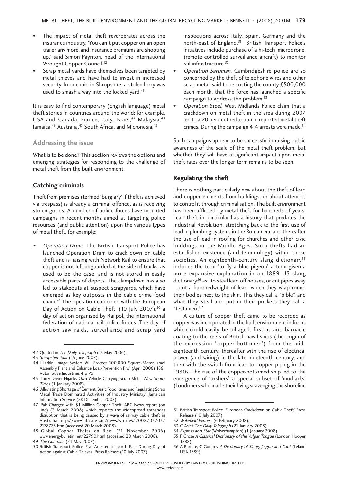- The impact of metal theft reverberates across the insurance industry. 'You can't put copper on an open trailer any more, and insurance premiums are shooting up,' said Simon Paynton, head of the International Wrought Copper Council.42
- Scrap metal yards have themselves been targeted by metal thieves and have had to invest in increased security. In one raid in Shropshire, a stolen lorry was used to smash a way into the locked yard.<sup>43</sup>

It is easy to find contemporary (English language) metal theft stories in countries around the world; for example, USA and Canada, France, Italy, Israel,<sup>44</sup> Malaysia.<sup>45</sup> Jamaica,<sup>46</sup> Australia,<sup>47</sup> South Africa, and Micronesia.<sup>48</sup>

### **Addressing the issue**

What is to be done? This section reviews the options and emerging strategies for responding to the challenge of metal theft from the built environment.

#### **Catching criminals**

Theft from premises (termed 'burglary' if theft is achieved via trespass) is already a criminal offence, as is receiving stolen goods. A number of police forces have mounted campaigns in recent months aimed at targeting police resources (and public attention) upon the various types of metal theft, for example:

• Operation Drum. The British Transport Police has launched Operation Drum to crack down on cable theft and is liaising with Network Rail to ensure that copper is not left unguarded at the side of tracks, as used to be the case, and is not stored in easily accessible parts of depots. The clampdown has also led to stakeouts at suspect scrapyards, which have emerged as key outposts in the cable crime food chain.49 The operation coincided with the 'European Day of Action on Cable Theft' (10 July 2007),<sup>50</sup> a day of action organised by Railpol, the international federation of national rail police forces. The day of action saw raids, surveillance and scrap yard

inspections across Italy, Spain, Germany and the north-east of England.<sup>51</sup> British Transport Police's initiatives include purchase of a hi-tech 'microdrone' (remote controlled surveillance aircraft) to monitor rail infrastructure.<sup>52</sup>

- Operation Saruman. Cambridgeshire police are so concerned by the theft of telephone wires and other scrap metal, said to be costing the county £500,000 each month, that the force has launched a specific campaign to address the problem.<sup>53</sup>
- Operation Steel. West Midlands Police claim that a crackdown on metal theft in the area during 2007 led to a 20 per cent reduction in reported metal theft crimes. During the campaign 414 arrests were made.<sup>54</sup>

Such campaigns appear to be successful in raising public awareness of the scale of the metal theft problem, but whether they will have a significant impact upon metal theft rates over the longer term remains to be seen.

#### **Regulating the theft**

There is nothing particularly new about the theft of lead and copper elements from buildings, or about attempts to control it through criminalisation. The built environment has been afflicted by metal theft for hundreds of years. Lead theft in particular has a history that predates the Industrial Revolution, stretching back to the first use of lead in plumbing systems in the Roman era, and thereafter the use of lead in roofing for churches and other civic buildings in the Middle Ages. Such thefts had an established existence (and terminology) within those societies. An eighteenth-century slang dictionary<sup>55</sup> includes the term 'to fly a blue pigeon', a term given a more expansive explanation in an 1889 US slang dictionary<sup>56</sup> as: 'to steal lead off houses, or cut pipes away ... cut a hundredweight of lead, which they wrap round their bodies next to the skin. This they call a "bible", and what they steal and put in their pockets they call a "testament'''.

A culture of copper theft came to be recorded as copper was incorporated in the built environment in forms which could easily be pillaged; first as anti-barnacle coating to the keels of British naval ships (the origin of the expression 'copper-bottomed') from the mideighteenth century, thereafter with the rise of electrical power (and wiring) in the late nineteenth century, and then with the switch from lead to copper piping in the 1930s. The rise of the copper-bottomed ship led to the emergence of 'toshers', a special subset of 'mudlarks' (Londoners who made their living scavenging the shoreline

<sup>42</sup> Quoted in The Daily Telegraph (13 May 2006).

<sup>43</sup> Shropshire Star (15 June 2007).

<sup>44</sup> J Larkin 'Image System Will Protect 100,000 Square-Meter Israel Assembly Plant and Enhance Loss-Prevention Pro' (April 2006) 186 Automotive Industries 4 p 75.

<sup>45 &#</sup>x27;Lorry Driver Hijacks Own Vehicle Carrying Scrap Metal' New Straits Times (1 January 2008).

<sup>46 &#</sup>x27;Alleviating Shortage of Cement, Basic Food Items and Regulating Scrap Metal Trade Dominated Activities of Industry Ministry' Jamaican Information Service (28 December 2007).

<sup>47 &#</sup>x27;Pair Charged with \$1 Million Copper Theft' ABC News report (on line) (3 March 2008) which reports the widespread transport disruption that is being caused by a wave of railway cable theft in Australia http://www.abc.net.au/news/stories/2008/03/03/ 2178773.htm (accessed 20 March 2008).

<sup>48 &#</sup>x27;Global Copper Thefts on Rise' (21 November 2006) www.energybulletin.net/22790.html (accessed 20 March 2008).

<sup>49</sup> The Guardian (24 May 2007).

<sup>50</sup> British Transport Police 'Five Arrested in North East During Day of Action against Cable Thieves' Press Release (10 July 2007).

<sup>51</sup> British Transport Police 'European Crackdown on Cable Theft' Press Release (10 July 2007).

<sup>52</sup> Wakefield Express (6 February 2008).

<sup>53</sup> C Aslet The Daily Telegraph (21 January 2008).

<sup>54</sup> Express and Star (Wolverhampton) (1 January 2008).

<sup>55</sup> F Grose A Classical Dictionary of the Vulgar Tongue (London Hooper 1788).

<sup>56</sup> A Barrère, C Godfrey A Dictionary of Slang, Jargon and Cant (Leland USA 1889).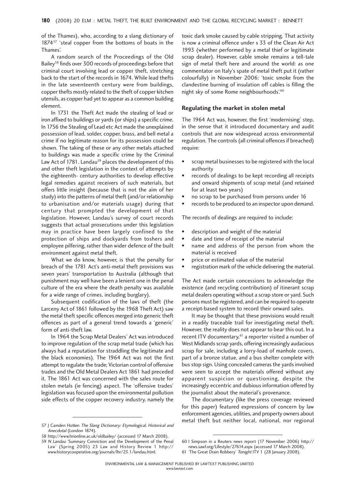of the Thames), who, according to a slang dictionary of 1874<sup>57</sup> 'steal copper from the bottoms of boats in the Thames'.

A random search of the Proceedings of the Old Bailey58 finds over 300 records of proceedings before that criminal court involving lead or copper theft, stretching back to the start of the records in 1674. While lead thefts in the late seventeenth century were from buildings, copper thefts mostly related to the theft of copper kitchen utensils, as copper had yet to appear as a common building element.

In 1731 the Theft Act made the stealing of lead or iron affixed to buildings or yards (or ships) a specific crime. In 1756 the Stealing of Lead etc Act made the unexplained possession of lead, solder, copper, brass, and bell metal a crime if no legitimate reason for its possession could be shown. The taking of these or any other metals attached to buildings was made a specific crime by the Criminal Law Act of 1781. Landau<sup>59</sup> places the development of this and other theft legislation in the context of attempts by the eighteenth- century authorities to develop effective legal remedies against receivers of such materials, but offers little insight (because that is not the aim of her study) into the patterns of metal theft (and/or relationship to urbanisation and/or materials usage) during that century that prompted the development of that legislation. However, Landau's survey of court records suggests that actual prosecutions under this legislation may in practice have been largely confined to the protection of ships and dockyards from toshers and employee pilfering, rather than wider defence of the built environment against metal theft.

What we do know, however, is that the penalty for breach of the 1781 Act's anti-metal theft provisions was seven years' transportation to Australia (although that punishment may well have been a lenient one in the penal culture of the era where the death penalty was available for a wide range of crimes, including burglary).

Subsequent codification of the laws of theft (the Larceny Act of 1861 followed by the 1968 Theft Act) saw the metal theft specific offences merged into generic theft offences as part of a general trend towards a 'generic' form of anti-theft law.

In 1964 the Scrap Metal Dealers' Act was introduced to improve regulation of the scrap metal trade (which has always had a reputation for straddling the legitimate and the black economies). The 1964 Act was not the first attempt to regulate the trade; Victorian control of offensive trades and the Old Metal Dealers Act 1861 had preceded it. The 1861 Act was concerned with the sales route for stolen metals (ie fencing) aspect. The 'offensive trades' legislation was focused upon the environmental pollution side effects of the copper recovery industry, namely the

Anecdotal (London 1874).

59 N Landau 'Summary Conviction and the Development of the Penal Law' (Spring 2005) 23 Law and History Review 1 http:// www.historycooperative.org/journals/lhr/23.1/landau.html.

toxic dark smoke caused by cable stripping. That activity is now a criminal offence under s 33 of the Clean Air Act 1993 (whether performed by a metal thief or legitimate scrap dealer). However, cable smoke remains a tell-tale sign of metal theft here and around the world: as one commentator on Italy's spate of metal theft put it (rather colourfully) in November 2006: 'toxic smoke from the clandestine burning of insulation off cables is filling the night sky of some Rome neighbourhoods'.60

#### **Regulating the market in stolen metal**

The 1964 Act was, however, the first 'modernising' step, in the sense that it introduced documentary and audit controls that are now widespread across environmental regulation. The controls (all criminal offences if breached) require:

- scrap metal businesses to be registered with the local authority
- records of dealings to be kept recording all receipts and onward shipments of scrap metal (and retained for at least two years)
- no scrap to be purchased from persons under 16
- records to be produced to an inspector upon demand.

The records of dealings are required to include:

- description and weight of the material
- date and time of receipt of the material
- name and address of the person from whom the material is received
- price or estimated value of the material
- registration mark of the vehicle delivering the material.

The Act made certain concessions to acknowledge the existence (and recycling contribution) of itinerant scrap metal dealers operating without a scrap store or yard. Such persons must be registered, and can be required to operate a receipt-based system to record their onward sales.

It may be thought that these provisions would result in a readily traceable trail for investigating metal theft. However, the reality does not appear to bear this out. In a recent ITV documentary,<sup>61</sup> a reporter visited a number of West Midlands scrap yards, offering increasingly audacious scrap for sale, including a lorry-load of manhole covers, part of a bronze statue, and a bus shelter complete with bus stop sign. Using concealed cameras the yards involved were seen to accept the materials offered without any apparent suspicion or questioning, despite the increasingly eccentric and dubious information offered by the journalist about the material's provenance.

The documentary (like the press coverage reviewed for this paper) featured expressions of concern by law enforcement agencies, utilities, and property owners about metal theft but neither local, national, nor regional<br>57 J Camden Hotten The Slang Dictionary: Etymological, Historical and

<sup>58</sup> http://www.hrionline.ac.uk/oldbailey/ (accessed 17 March 2008).

<sup>60</sup> I Simpson in a Reuters news report (17 November 2006) http:// news.sawf.org/Lifestyle/27614.aspx (accessed 17 March 2008).

<sup>61 &#</sup>x27;The Great Drain Robbery' Tonight ITV 1 (28 January 2008).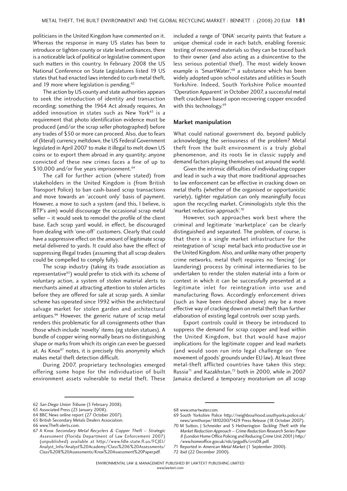politicians in the United Kingdom have commented on it. Whereas the response in many US states has been to introduce or tighten county or state level ordinances, there is a noticeable lack of political or legislative comment upon such matters in this country. In February 2008 the US National Conference on State Legislatures listed 19 US states that had enacted laws intended to curb metal theft, and 19 more where legislation is pending.<sup>62</sup>

The action by US county and state authorities appears to seek the introduction of identity and transaction recording; something the 1964 Act already requires. An added innovation in states such as New York<sup>63</sup> is a requirement that photo identification evidence must be produced (and/or the scrap seller photographed) before any trades of \$50 or more can proceed. Also, due to fears of (literal) currency meltdown, the US Federal Government legislated in April 2007 to make it illegal to melt down US coins or to export them abroad in any quantity; anyone convicted of these new crimes faces a fine of up to \$10,000 and/or five years imprisonment.<sup>64</sup>

The call for further action (where stated) from stakeholders in the United Kingdom is (from British Transport Police) to ban cash-based scrap transactions and move towards an 'account only' basis of payment. However, a move to such a system (and this, I believe, is BTP's aim) would discourage the occasional scrap metal seller – it would seek to remodel the profile of the client base. Each scrap yard would, in effect, be discouraged from dealing with 'one-off' customers. Clearly that could have a suppressive effect on the amount of legitimate scrap metal delivered to yards. It could also have the effect of suppressing illegal trades (assuming that all scrap dealers could be compelled to comply fully).

The scrap industry (taking its trade association as representative<sup>65</sup>) would prefer to stick with its scheme of voluntary action, a system of stolen material alerts to merchants aimed at attracting attention to stolen articles before they are offered for sale at scrap yards. A similar scheme has operated since 1992 within the architectural salvage market for stolen garden and architectural antiques.<sup>66</sup> However, the generic nature of scrap metal renders this problematic for all consignments other than those which include 'novelty' items (eg stolen statues). A bundle of copper wiring normally bears no distinguishing shape or marks from which its origin can even be guessed at. As Knox<sup>67</sup> notes, it is precisely this anonymity which makes metal theft detection difficult.

During 2007, proprietary technologies emerged offering some hope for the individuation of built environment assets vulnerable to metal theft. These included a range of 'DNA' security paints that feature a unique chemical code in each batch, enabling forensic testing of recovered materials so they can be traced back to their owner (and also acting as a disincentive to the less serious potential thief). The most widely known example is 'SmartWater',<sup>68</sup> a substance which has been widely adopted upon school estates and utilities in South Yorkshire. Indeed, South Yorkshire Police mounted 'Operation Apparent' in October 2007, a successful metal theft crackdown based upon recovering copper encoded with this technology.<sup>69</sup>

#### **Market manipulation**

What could national government do, beyond publicly acknowledging the seriousness of the problem? Metal theft from the built environment is a truly global phenomenon, and its roots lie in classic supply and demand factors playing themselves out around the world.

Given the intrinsic difficulties of individuating copper and lead in such a way that more traditional approaches to law enforcement can be effective in cracking down on metal thefts (whether of the organised or opportunistic variety), tighter regulation can only meaningfully focus upon the recycling market. Criminologists style this the 'market reduction approach'.70

However, such approaches work best where the criminal and legitimate 'marketplace' can be clearly distinguished and separated. The problem, of course, is that there is a single market infrastructure for the reintegration of 'scrap' metal back into productive use in the United Kingdom. Also, and unlike many other property crime networks, metal theft requires no 'fencing' (or laundering) process by criminal intermediaries to be undertaken to render the stolen material into a form or context in which it can be successfully presented at a legitimate inlet for reintegration into use and manufacturing flows. Accordingly enforcement drives (such as have been described above) may be a more effective way of cracking down on metal theft than further elaboration of existing legal controls over scrap yards.

Export controls could in theory be introduced to suppress the demand for scrap copper and lead within the United Kingdom, but that would have major implications for the legitimate copper and lead markets (and would soon run into legal challenge on 'free movement of goods' grounds under EU law). At least three metal-theft afflicted countries have taken this step; Russia<sup>71</sup> and Kazakhstan,<sup>72</sup> both in 2000, while in 2007 Jamaica declared a temporary moratorium on all scrap

<sup>62</sup> San Diego Union Tribune (3 February 2008).

<sup>63</sup> Associated Press (23 January 2008).

<sup>64</sup> BBC News online report (27 October 2007).

<sup>65</sup> British Secondary Metals Dealers Association.

<sup>66</sup> www.Theft-alerts.com.

<sup>67</sup> A Knox Secondary Metal Recyclers & Copper Theft – Strategic Assessment (Florida Department of Law Enforcement 2007) (unpublished) available at http://www.fdle.state.fl.us/FCJEI/ Analyst\_Info/Analyst%20Academy/Class%206%20Assessments/ Class%208%20Assessments/Knox%20Assessment%20Paper.pdf.

<sup>68</sup> www.smartwater.com.

<sup>69</sup> South Yorkshire Police http://neighbourhood.southyorks.police.uk/ news/armthorpe/181020071429 Press Release (18 October 2007).

<sup>70</sup> M Sutton, J Schneider and S Hetherington Tackling Theft with the Market Reduction Approach – Crime Reduction Research Series Paper <sup>8</sup> (London Home Office Policing and Reducing Crime Unit 2001) http:/ /www.homeoffice.gov.uk/rds/prgpdfs/crrs08.pdf.

<sup>71</sup> Reported in American Metal Market (1 September 2000).

<sup>72</sup> ibid (22 December 2000).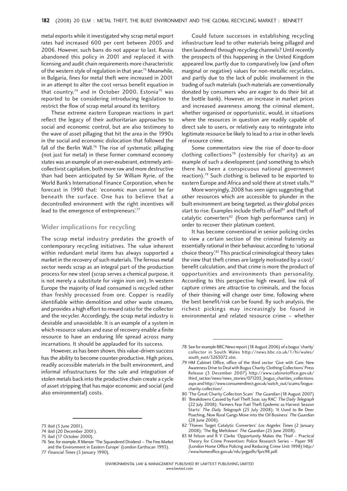metal exports while it investigated why scrap metal export rates had increased 600 per cent between 2005 and 2006. However, such bans do not appear to last. Russia abandoned this policy in 2001 and replaced it with licensing and audit chain requirements more characteristic of the western style of regulation in that year.<sup>73</sup> Meanwhile, in Bulgaria, fines for metal theft were increased in 2001 in an attempt to alter the cost versus benefit equation in that country,<sup>74</sup> and in October 2000, Estonia<sup>75</sup> was reported to be considering introducing legislation to restrict the flow of scrap metal around its territory.

These extreme eastern European reactions in part reflect the legacy of their authoritarian approaches to social and economic control, but are also testimony to the wave of asset pillaging that hit the area in the 1990s in the social and economic dislocation that followed the fall of the Berlin Wall.76 The rise of systematic pillaging (not just for metal) in these former command economy states was an example of an over-exuberant, extremely anticollectivist capitalism, both more raw and more destructive than had been anticipated by Sir William Ryrie, of the World Bank's International Finance Corporation, when he forecast in 1990 that: 'economic man cannot be far beneath the surface. One has to believe that a decontrolled environment with the right incentives will lead to the emergence of entrepreneurs'.<sup>77</sup>

#### **Wider implications for recycling**

The scrap metal industry predates the growth of contemporary recycling initiatives. The value inherent within redundant metal items has always supported a market in the recovery of such materials. The ferrous metal sector needs scrap as an integral part of the production process for new steel (scrap serves a chemical purpose, it is not merely a substitute for virgin iron ore). In western Europe the majority of lead consumed is recycled rather than freshly processed from ore. Copper is readily identifiable within demolition and other waste streams, and provides a high effort to reward ratio for the collector and the recycler. Accordingly, the scrap metal industry is desirable and unavoidable. It is an example of a system in which resource values and ease of recovery enable a finite resource to have an enduring life spread across many incarnations. It should be applauded for its success.

However, as has been shown, this value-driven success has the ability to become counter-productive. High prices, readily accessible materials in the built environment, and informal infrastructures for the sale and integration of stolen metals back into the productive chain create a cycle of asset stripping that has major economic and social (and also environmental) costs.

75 ibid (17 October 2000).

Could future successes in establishing recycling infrastructure lead to other materials being pillaged and then laundered through recycling channels? Until recently the prospects of this happening in the United Kingdom appeared low, partly due to comparatively low (and often marginal or negative) values for non-metallic recyclates, and partly due to the lack of public involvement in the trading of such materials (such materials are conventionally donated by consumers who are eager to do their bit at the bottle bank). However, an increase in market prices and increased awareness among the criminal element, whether organised or opportunistic, would, in situations where the resources in question are readily capable of direct sale to users, or relatively easy to reintegrate into legitimate resource be likely to lead to a rise in other levels of resource crime.

Some commentators view the rise of door-to-door clothing collections<sup>78</sup> (ostensibly for charity) as an example of such a development (and something to which there has been a conspicuous national government reaction).79 Such clothing is believed to be exported to eastern Europe and Africa and sold there at street stalls.<sup>80</sup>

More worryingly, 2008 has seen signs suggesting that other resources which are accessible to plunder in the built environment are being targeted, as their global prices start to rise. Examples include thefts of fuel<sup>81</sup> and theft of catalytic converters<sup>82</sup> (from high performance cars) in order to recover their platinum content.

It has become conventional in senior policing circles to view a certain section of the criminal fraternity as essentially rational in their behaviour, according to 'rational choice theory'.83 This practical criminological theory takes the view that theft crimes are largely motivated by a cost/ benefit calculation, and that crime is more the product of opportunities and environments than personality. According to this perspective high reward, low risk of capture crimes are attractive to criminals, and the focus of their thieving will change over time, following where the best benefit/risk can be found. By such analysis, the richest pickings may increasingly be found in environmental and related resource crime – whether

82 Thieves Target Catalytic Converters' Los Angeles Times (2 January 2008); 'The Big Meltdown' The Guardian (25 June 2008).

<sup>73</sup> ibid (5 June 2001).

<sup>74</sup> ibid (20 December 2001).

<sup>76</sup> See, for example, R Manser 'The Squandered Dividend – The Free Market and the Environment in Eastern Europe' (London Earthscan 1993).

<sup>77</sup> Financial Times (5 January 1990).

<sup>78</sup> See for example BBC News report (18 August 2006) of a bogus 'charity' collector in South Wales http://news.bbc.co.uk/1/hi/wales/ south\_east/5263072.stm.

<sup>79</sup> HM Cabinet Office, office of the third sector 'Give with Care: New Awareness Drive to Deal with Bogus Charity Clothing Collections' Press Release (3 December 2007) http://www.cabinetoffice.gov.uk/ third\_sector/news/news\_stories/071203\_bogus\_charities\_collections. aspx and http://www.consumerdirect.gov.uk/watch\_out/scams/boguscharity-collection/.

<sup>80 &#</sup>x27;The Great Charity Collection Scam' The Guardian (18 August 2007)

<sup>81 &#</sup>x27;Breakdowns Caused by Fuel Theft Soar, say RAC' The Daily Telegraph (22 July 2008); 'Farmers Fear Fuel Theft Epidemic as Harvest Season Starts' The Daily Telegraph (25 July 2008); 'It Used to Be Deer Poaching, Now Rural Gangs Move into the Oil Business' The Guardian (28 June 2008).

<sup>83</sup> M Felson and R V Clarke 'Opportunity Makes the Thief - Practical Theory for Crime Prevention: Police Research Series – Paper 98' (London Home Office Policing and Reducing Crime Unit 1998) http:/ /www.homeoffice.gov.uk/rds/prgpdfs/fprs98.pdf.